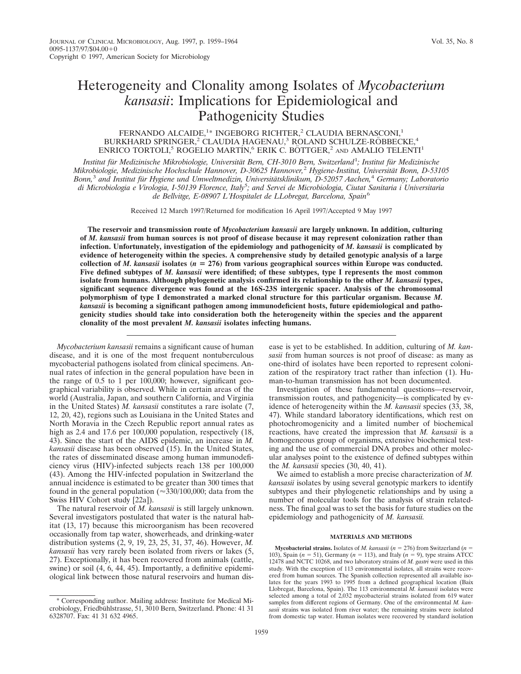# Heterogeneity and Clonality among Isolates of *Mycobacterium kansasii*: Implications for Epidemiological and Pathogenicity Studies

# FERNANDO ALCAIDE,<sup>1\*</sup> INGEBORG RICHTER,<sup>2</sup> CLAUDIA BERNASCONI,<sup>1</sup> BURKHARD SPRINGER,<sup>2</sup> CLAUDIA HAGENAU,<sup>3</sup> ROLAND SCHULZE-RÖBBECKE,<sup>4</sup> ENRICO TORTOLI,<sup>5</sup> ROGELIO MARTÍN,<sup>6</sup> ERIK C. BÖTTGER,<sup>2</sup> AND AMALIO TELENTI<sup>1</sup>

*Institut fu¨r Medizinische Mikrobiologie, Universita¨t Bern, CH-3010 Bern, Switzerland*<sup>1</sup> *; Institut fu¨r Medizinische Mikrobiologie, Medizinische Hochschule Hannover, D-30625 Hannover,*<sup>2</sup> *Hygiene-Institut, Universita¨t Bonn, D-53105 Bonn,*<sup>3</sup> *and Institut fu¨r Hygiene und Umweltmedizin, Universita¨tsklinikum, D-52057 Aachen,*<sup>4</sup> *Germany; Laboratorio di Microbiologia e Virologia, I-50139 Florence, Italy*<sup>5</sup> *; and Servei de Microbiologia, Ciutat Sanitaria i Universitaria de Bellvitge, E-08907 L'Hospitalet de LLobregat, Barcelona, Spain*<sup>6</sup>

Received 12 March 1997/Returned for modification 16 April 1997/Accepted 9 May 1997

**The reservoir and transmission route of** *Mycobacterium kansasii* **are largely unknown. In addition, culturing of** *M. kansasii* **from human sources is not proof of disease because it may represent colonization rather than infection. Unfortunately, investigation of the epidemiology and pathogenicity of** *M. kansasii* **is complicated by evidence of heterogeneity within the species. A comprehensive study by detailed genotypic analysis of a large** collection of *M. kansasii* isolates ( $n = 276$ ) from various geographical sources within Europe was conducted. **Five defined subtypes of** *M. kansasii* **were identified; of these subtypes, type I represents the most common isolate from humans. Although phylogenetic analysis confirmed its relationship to the other** *M. kansasii* **types, significant sequence divergence was found at the 16S-23S intergenic spacer. Analysis of the chromosomal polymorphism of type I demonstrated a marked clonal structure for this particular organism. Because** *M. kansasii* **is becoming a significant pathogen among immunodeficient hosts, future epidemiological and pathogenicity studies should take into consideration both the heterogeneity within the species and the apparent clonality of the most prevalent** *M. kansasii* **isolates infecting humans.**

*Mycobacterium kansasii* remains a significant cause of human disease, and it is one of the most frequent nontuberculous mycobacterial pathogens isolated from clinical specimens. Annual rates of infection in the general population have been in the range of 0.5 to 1 per 100,000; however, significant geographical variability is observed. While in certain areas of the world (Australia, Japan, and southern California, and Virginia in the United States) *M. kansasii* constitutes a rare isolate (7, 12, 20, 42), regions such as Louisiana in the United States and North Moravia in the Czech Republic report annual rates as high as 2.4 and 17.6 per 100,000 population, respectively (18, 43). Since the start of the AIDS epidemic, an increase in *M. kansasii* disease has been observed (15). In the United States, the rates of disseminated disease among human immunodeficiency virus (HIV)-infected subjects reach 138 per 100,000 (43). Among the HIV-infected population in Switzerland the annual incidence is estimated to be greater than 300 times that found in the general population ( $\approx$ 330/100,000; data from the Swiss HIV Cohort study [22a]).

The natural reservoir of *M. kansasii* is still largely unknown. Several investigators postulated that water is the natural habitat (13, 17) because this microorganism has been recovered occasionally from tap water, showerheads, and drinking-water distribution systems (2, 9, 19, 23, 25, 31, 37, 46). However, *M. kansasii* has very rarely been isolated from rivers or lakes (5, 27). Exceptionally, it has been recovered from animals (cattle, swine) or soil (4, 6, 44, 45). Importantly, a definitive epidemiological link between those natural reservoirs and human disease is yet to be established. In addition, culturing of *M. kansasii* from human sources is not proof of disease: as many as one-third of isolates have been reported to represent colonization of the respiratory tract rather than infection (1). Human-to-human transmission has not been documented.

Investigation of these fundamental questions—reservoir, transmission routes, and pathogenicity—is complicated by evidence of heterogeneity within the *M. kansasii* species (33, 38, 47). While standard laboratory identifications, which rest on photochromogenicity and a limited number of biochemical reactions, have created the impression that *M. kansasii* is a homogeneous group of organisms, extensive biochemical testing and the use of commercial DNA probes and other molecular analyses point to the existence of defined subtypes within the *M. kansasii* species (30, 40, 41).

We aimed to establish a more precise characterization of *M. kansasii* isolates by using several genotypic markers to identify subtypes and their phylogenetic relationships and by using a number of molecular tools for the analysis of strain relatedness. The final goal was to set the basis for future studies on the epidemiology and pathogenicity of *M. kansasii.*

### **MATERIALS AND METHODS**

**Mycobacterial strains.** Isolates of *M. kansasii* ( $n = 276$ ) from Switzerland ( $n = 1$ ) 103), Spain  $(n = 51)$ , Germany  $(n = 113)$ , and Italy  $(n = 9)$ , type strains ATCC 12478 and NCTC 10268, and two laboratory strains of *M. gastri* were used in this study. With the exception of 113 environmental isolates, all strains were recovered from human sources. The Spanish collection represented all available isolates for the years 1993 to 1995 from a defined geographical location (Baix Llobregat, Barcelona, Spain). The 113 environmental *M. kansasii* isolates were selected among a total of 2,032 mycobacterial strains isolated from 619 water samples from different regions of Germany. One of the environmental *M. kansasii* strains was isolated from river water; the remaining strains were isolated from domestic tap water. Human isolates were recovered by standard isolation

<sup>\*</sup> Corresponding author. Mailing address: Institute for Medical Microbiology, Friedbühlstrasse, 51, 3010 Bern, Switzerland. Phone: 41 31 6328707. Fax: 41 31 632 4965.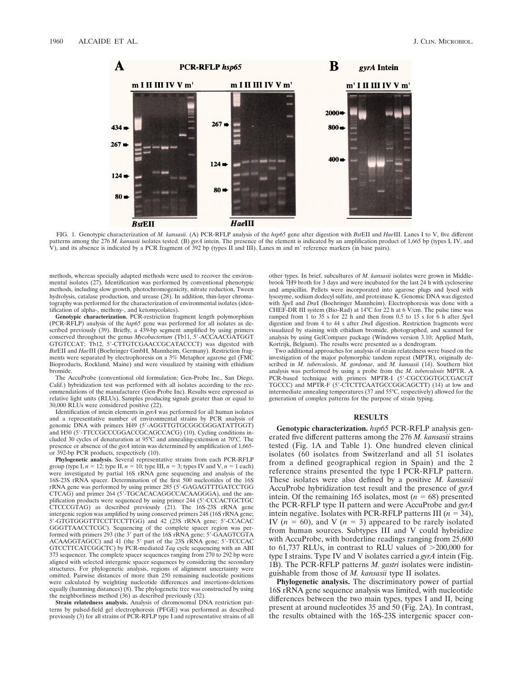

FIG. 1. Genotypic characterization of *M. kansasii*. (A) PCR-RFLP analysis of the *hsp65* gene after digestion with *Bst*EII and *Hae*III. Lanes I to V, five different patterns among the 276 *M. kansasii* isolates tested. (B) *gyrA* intein. The presence of the element is indicated by an amplification product of 1,665 bp (types I, IV, and V), and its absence is indicated by a PCR fragment of 392 bp (types II and III). Lanes m and m' reference markers (in base pairs).

methods, whereas specially adapted methods were used to recover the environmental isolates (27). Identification was performed by conventional phenotypic methods, including slow growth, photochromogenicity, nitrate reduction, Tween hydrolysis, catalase production, and urease (28). In addition, thin-layer chromatography was performed for the characterization of environmental isolates (identification of alpha-, methoxy-, and ketomycolates).

**Genotypic characterization.** PCR-restriction fragment length polymorphism (PCR-RFLP) analysis of the *hsp65* gene was performed for all isolates as described previously (39). Briefly, a 439-bp segment amplified by using primers conserved throughout the genus *Mycobacterium* (Tb11, 5'-ACCAACGATGGT GTGTCCAT; Tb12, 5'-CTTGTCGAACCGCATACCCT) was digested with *Bst*EII and *Hae*III (Boehringer GmbH, Mannheim, Germany). Restriction fragments were separated by electrophoresis on a 3% Metaphor agarose gel (FMC Bioproducts, Rockland, Maine) and were visualized by staining with ethidium bromide.

The AccuProbe (conventional old formulation; Gen-Probe Inc., San Diego, Calif.) hybridization test was performed with all isolates according to the recommendations of the manufacturer (Gen-Probe Inc). Results were expressed as relative light units (RLUs). Samples producing signals greater than or equal to 30,000 RLUs were considered positive (22).

Identification of intein elements in *gyrA* was performed for all human isolates and a representative number of environmental strains by PCR analysis of genomic DNA with primers H49 (5'-AGGTTGTGCGGCGGGATATTGGT) and H50 (5'-TTCCGCCCGGACCGCAGCCACG) (10). Cycling conditions included 30 cycles of denaturation at 95°C and annealing-extension at 70°C. The presence or absence of the *gyrA* intein was determined by amplification of 1,665 or 392-bp PCR products, respectively (10).

**Phylogenetic analysis.** Several representative strains from each PCR-RFLP group (type I,  $n = 12$ ; type II,  $n = 10$ ; type III,  $n = 3$ ; types IV and V,  $n = 1$  each) were investigated by partial 16S rRNA gene sequencing and analysis of the 16S-23S rRNA spacer. Determination of the first 500 nucleotides of the 16S rRNA gene was performed by using primer 285 (5'-GAGAGTTTGATCCTGG CTCAG) and primer 264 (5'-TGCACACAGGCCACAAGGGA), and the amplification products were sequenced by using primer 244 (5'-CCCACTGCTGC CTCCCGTAG) as described previously (21). The 16S-23S rRNA gene intergenic region was amplified by using conserved primers 248 (16S rRNA gene; 5'-GTGTGGGTTTCCTTCCTTGG) and 42 (23S rRNA gene; 5'-CCACAC GGGTTAACCTCGC). Sequencing of the complete spacer region was performed with primers 293 (the 3' part of the 16S rRNA gene; 5'-GAAGTCGTA ACAAGGTAGCC) and 41 (the 5' part of the 23S rRNA gene; 5'-TCCCAC GTCCTTCATCGGCTC) by PCR-mediated *Taq* cycle sequencing with an ABI 373 sequencer. The complete spacer sequences ranging from 270 to 292 bp were aligned with selected intergenic spacer sequences by considering the secondary structures. For phylogenetic analysis, regions of alignment uncertainty were omitted. Pairwise distances of more than 250 remaining nucleotide positions were calculated by weighting nucleotide differences and insertions-deletions equally (hamming distances)  $(8)$ . The phylogenetic tree was constructed by using the neighborliness method (36) as described previously (32).

**Strain relatedness analysis.** Analysis of chromosomal DNA restriction patterns by pulsed-field gel electrophoresis (PFGE) was performed as described previously (3) for all strains of PCR-RFLP type I and representative strains of all other types. In brief, subcultures of *M. kansasii* isolates were grown in Middlebrook 7H9 broth for 3 days and were incubated for the last 24 h with cycloserine and ampicillin. Pellets were incorporated into agarose plugs and lysed with lysozyme, sodium dodecyl sulfate, and proteinase K. Genomic DNA was digested with *Spe*I and *Dra*I (Boehringer Mannheim). Electrophoresis was done with a CHEF-DR III system (Bio-Rad) at 14°C for 22 h at 6 V/cm. The pulse time was ramped from 1 to 35 s for 22 h and then from 0.5 to 15 s for 6 h after *Spe*I digestion and from 4 to 44 s after *Dra*I digestion. Restriction fragments were visualized by staining with ethidium bromide, photographed, and scanned for analysis by using GelCompare package (Windows version 3.10; Applied Math, Kortrijk, Belgium). The results were presented as a dendrogram.

Two additional approaches for analysis of strain relatedness were based on the investigation of the major polymorphic tandem repeat (MPTR), originally described in *M. tuberculosis*, *M. gordonae*, and *M. kansasii* (14). Southern blot analysis was performed by using a probe from the *M. tuberculosis* MPTR. A PCR-based technique with primers MPTR-I (5'-CGCCGGTGCCGACGT TGCCC) and MPTR-F (5'-CTCTTCAATGCCGGCAGCTT) (14) at low and intermediate annealing temperatures (37 and 55°C, respectively) allowed for the generation of complex patterns for the purpose of strain typing.

## **RESULTS**

**Genotypic characterization.** *hsp65* PCR-RFLP analysis generated five different patterns among the 276 *M. kansasii* strains tested (Fig. 1A and Table 1). One hundred eleven clinical isolates (60 isolates from Switzerland and all 51 isolates from a defined geographical region in Spain) and the 2 reference strains presented the type I PCR-RFLP pattern. These isolates were also defined by a positive *M. kansasii* AccuProbe hybridization test result and the presence of *gyrA* intein. Of the remaining 165 isolates, most  $(n = 68)$  presented the PCR-RFLP type II pattern and were AccuProbe and *gyrA* intein negative. Isolates with PCR-RFLP patterns III  $(n = 34)$ , IV  $(n = 60)$ , and V  $(n = 3)$  appeared to be rarely isolated from human sources. Subtypes III and V could hybridize with AccuProbe, with borderline readings ranging from 25,600 to  $61,737$  RLUs, in contrast to RLU values of  $>200,000$  for type I strains. Type IV and V isolates carried a *gyrA* intein (Fig. 1B). The PCR-RFLP patterns *M. gastri* isolates were indistinguishable from those of *M. kansasii* type II isolates.

**Phylogenetic analysis.** The discriminatory power of partial 16S rRNA gene sequence analysis was limited, with nucleotide differences between the two main types, types I and II, being present at around nucleotides 35 and 50 (Fig. 2A). In contrast, the results obtained with the 16S-23S intergenic spacer con-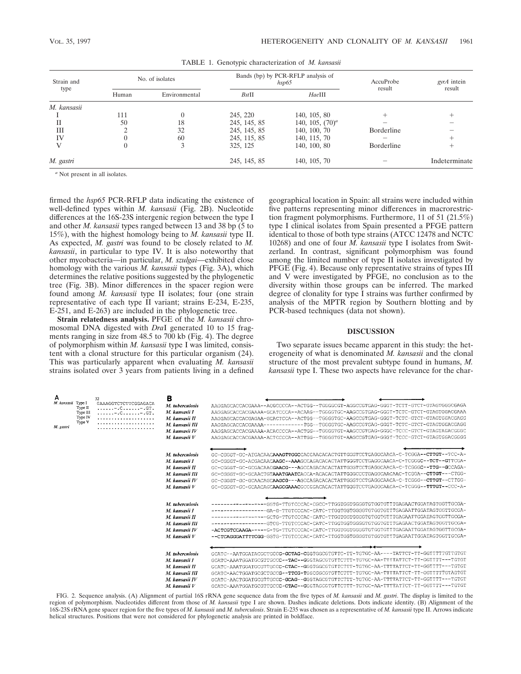| Strain and<br>type | No. of isolates |               | Bands (bp) by PCR-RFLP analysis of<br>hsp65 |                    | AccuProbe<br>result | gyrA intein<br>result |
|--------------------|-----------------|---------------|---------------------------------------------|--------------------|---------------------|-----------------------|
|                    | Human           | Environmental | $Bst$ II                                    | HaeIII             |                     |                       |
| M. kansasii        |                 |               |                                             |                    |                     |                       |
|                    | 111             |               | 245, 220                                    | 140, 105, 80       |                     |                       |
| П                  | 50              | 18            | 245, 145, 85                                | 140, 105, $(70)^a$ |                     |                       |
| Ш                  |                 | 32            | 245, 145, 85                                | 140, 100, 70       | Borderline          |                       |
| IV                 |                 | 60            | 245, 115, 85                                | 140, 115, 70       |                     |                       |
|                    | 0               |               | 325, 125                                    | 140, 100, 80       | Borderline          |                       |
| M. gastri          |                 |               | 245, 145, 85                                | 140, 105, 70       |                     | Indeterminate         |

TABLE 1. Genotypic characterization of *M. kansasii*

*<sup>a</sup>* Not present in all isolates.

firmed the *hsp65* PCR-RFLP data indicating the existence of well-defined types within *M. kansasii* (Fig. 2B). Nucleotide differences at the 16S-23S intergenic region between the type I and other *M. kansasii* types ranged between 13 and 38 bp (5 to 15%), with the highest homology being to *M. kansasii* type II. As expected, *M. gastri* was found to be closely related to *M. kansasii*, in particular to type IV. It is also noteworthy that other mycobacteria—in particular, *M. szulgai*—exhibited close homology with the various *M. kansasii* types (Fig. 3A), which determines the relative positions suggested by the phylogenetic tree (Fig. 3B). Minor differences in the spacer region were found among *M. kansasii* type II isolates; four (one strain representative of each type II variant; strains E-234, E-235, E-251, and E-263) are included in the phylogenetic tree.

**Strain relatedness analysis.** PFGE of the *M. kansasii* chromosomal DNA digested with *Dra*I generated 10 to 15 fragments ranging in size from 48.5 to 700 kb (Fig. 4). The degree of polymorphism within *M. kansasii* type I was limited, consistent with a clonal structure for this particular organism (24). This was particularly apparent when evaluating *M. kansasii* strains isolated over 3 years from patients living in a defined geographical location in Spain: all strains were included within five patterns representing minor differences in macrorestriction fragment polymorphisms. Furthermore, 11 of 51 (21.5%) type I clinical isolates from Spain presented a PFGE pattern identical to those of both type strains (ATCC 12478 and NCTC 10268) and one of four *M. kansasii* type I isolates from Switzerland. In contrast, significant polymorphism was found among the limited number of type II isolates investigated by PFGE (Fig. 4). Because only representative strains of types III and V were investigated by PFGE, no conclusion as to the diversity within those groups can be inferred. The marked degree of clonality for type I strains was further confirmed by analysis of the MPTR region by Southern blotting and by PCR-based techniques (data not shown).

# **DISCUSSION**

Two separate issues became apparent in this study: the heterogeneity of what is denominated *M. kansasii* and the clonal structure of the most prevalent subtype found in humans, *M. kansasii* type I. These two aspects have relevance for the char-

| A<br>M. kansasii Type I<br>M. gastri | Type II<br>Type III<br>Type IV<br>Type V | 32<br>GAAAGGTCTCTTCGGAGACA | в<br>M. tuberculosis<br>M. kansasii I<br>M. kansasii II<br>M. kansasii III<br>M. kansasii IV<br>M. kansasu V | AAGGAGCACCACGAAA--ACGCCCCA--ACTGG--TGGGGCGT-AGGCCGTGAG-GGGT-TCTT-GTCT-GTAGTGGGCGAGA<br>AAGGAGCACCACGAAAA-GCATCCCA--ACAAG--TGGGGTGC-AAGCCGTGAG-GGGT-TCTC-GTCT-GTAGTGGACGAAA<br>AAGGAGCACCACGAGAA-GCACTCCA--ACTGG--TGGGGTGC-AAGCCGTGAG-GGGT-TCTC-GTCT-GTAGTGGACGAGG<br>AAGGAGCACCACGAAAA--<br>AAGGAGCACCACGAAAA-ACACCCCA--ACTGG--TGGGGTGT-AAGCCGTGAG-GGGC-TCCC-GTCT-GTAGTAGACGGGC<br>AAGGAGCACCACGAAAA-ACTCCCCA--ATTGG--TGGGGTGT-AAGCCGTGAG-GGGT-TCCC-GTCT-GTAGTGGACGGGG                                                                 |
|--------------------------------------|------------------------------------------|----------------------------|--------------------------------------------------------------------------------------------------------------|----------------------------------------------------------------------------------------------------------------------------------------------------------------------------------------------------------------------------------------------------------------------------------------------------------------------------------------------------------------------------------------------------------------------------------------------------------------------------------------------------------------------------------------|
|                                      |                                          |                            | M. tuberculosis<br>M. kansasii I<br>M. kansasii II<br>M. kansasii III<br>M. kansasii IV<br>M. kansasii V     | GC-CGGGT-GC-ATGACAACAAAGTTGGCCACCAACACACTGTTGGGTCCTGAGGCAACA-C-TCGGA--CTTGT--TCC-A-<br>GC-CGGGT-GC-ACGACAACAAGC--AAAGCCAGACACACTATTGGGTCCTGAGGCAACA-C-TCGGGC--TCT--GTTCGA-<br>GC-CGGGT-GC-GCGACAACGAACG---AGCCAGACACACTATTGGGTCCTGAGGCAACA-C-TCGGGC--TTG--GCCAGA-<br>GC-CGGGT-GC-GCAACTGTAAATGAATCACCA-ACACACTATTGGGCCCTGAGGCAACAAC-TCGGA--CTTGT---CTGG-<br>GC-CGGGT-GC-GCAACAGCAAGCG---AGCCAGACACACTATTGGGTCCTGAGGCAACA-C-TCGGG--CTTGT--CTTGG-<br>GC-CGGGT-GC-GCAACAGCAAGCGAAACGCCGGACACACTATTGGGTCCTGAGGCAACA-C-TCGGG--TTTGT--CCC-A- |
|                                      |                                          |                            | M. tuberculosis<br>M. kansasii I<br>M. kansasii II<br>M. kansasii III<br>M. kansasni IV<br>M. kansasii V     | STCG-TTGTCCCAC-CATC-TTGGTGGTGGGGTGTGGTGTTTGAGAACTGGATAGTGGTTGCGA-<br>-ACTCGTCCAAGA-----G-TG-TTGTCCCAC-CATC-TTGGTGGTGGGGTGTGTTTTGAGAATTGGATAGTGGTTGCGA-                                                                                                                                                                                                                                                                                                                                                                                 |
|                                      |                                          |                            | M. tuberculosis<br>M. kansasii I<br>M. kansasii II<br>M. kansasii III<br>M. kansasii IV<br>M. kansasii V     | GCATC--AATGGATACGCTGCCG-GCTAG-CGGTGGCGTGTTC-TT-TGTGC-AA----TATTCT-TT-GGTTTTTGTTGTGT<br>GCATC-AAATGGATGCGTTGCCC--TAC--GGGTAGCGTGTTCTTT-TGTGC-AA-TTTTATTCT-TT-GGTTTT---TGTGT<br>GCATC-AAATGGATGCGTTGCCC-CTAC--GGGTGGCGTGTTCTTT-TGTGC-AA-TTTTATTCT-TT-GGTTTT---TGTGT<br>GCATC-AACTGGATGCGCTGCCG--TTCG-TGGCGGCGTGTTCTTT-TGTGC-AA-TTTTATTCT-TT-GGTTTTTGTAGTGT<br>GCATC-AACTGGATGCGTTGCCC-GCAG--GGGTAGCGTGTTCTTT-TGTGC-AA-TTTTATTCT-TT-GGTTTT---TGTGT<br>GCATC-AAATGGATGCGTTGCCC-CTAC--GGGTAGCGTGTTCTTT-TGTGC-AA-TTTTATTCT-TT-GGTTTT---TGTGT |

FIG. 2. Sequence analysis. (A) Alignment of partial 16S rRNA gene sequence data from the five types of *M. kansasii* and *M. gastri*. The display is limited to the region of polymorphism. Nucleotides different from those of *M. kansasii* type I are shown. Dashes indicate deletions. Dots indicate identity. (B) Alignment of the 16S-23S rRNA gene spacer region for the five types of *M. kansasii* and *M. tuberculosis*. Strain E-235 was chosen as a representative of *M. kansasii* type II. Arrows indicate helical structures. Positions that were not considered for phylogenetic analysis are printed in boldface.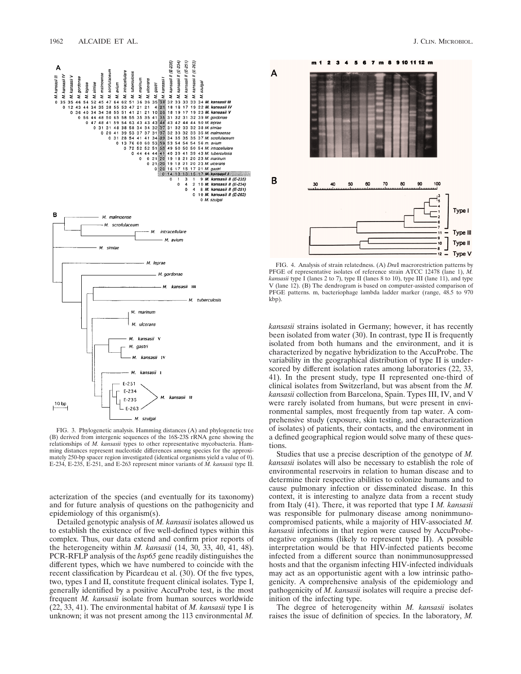

FIG. 3. Phylogenetic analysis. Hamming distances (A) and phylogenetic tree (B) derived from intergenic sequences of the 16S-23S rRNA gene showing the relationships of *M. kansasii* types to other representative mycobacteria. Hamming distances represent nucleotide differences among species for the approximately 250-bp spacer region investigated (identical organisms yield a value of 0). E-234, E-235, E-251, and E-263 represent minor variants of *M. kansasii* type II.

acterization of the species (and eventually for its taxonomy) and for future analysis of questions on the pathogenicity and epidemiology of this organism(s).

Detailed genotypic analysis of *M. kansasii* isolates allowed us to establish the existence of five well-defined types within this complex. Thus, our data extend and confirm prior reports of the heterogeneity within *M. kansasii* (14, 30, 33, 40, 41, 48). PCR-RFLP analysis of the *hsp65* gene readily distinguishes the different types, which we have numbered to coincide with the recent classification by Picardeau et al. (30). Of the five types, two, types I and II, constitute frequent clinical isolates. Type I, generally identified by a positive AccuProbe test, is the most frequent *M. kansasii* isolate from human sources worldwide (22, 33, 41). The environmental habitat of *M. kansasii* type I is unknown; it was not present among the 113 environmental *M.*



FIG. 4. Analysis of strain relatedness. (A) *Dra*I macrorestriction patterns by PFGE of representative isolates of reference strain ATCC 12478 (lane 1), *M. kansasii* type I (lanes 2 to 7), type II (lanes 8 to 10), type III (lane 11), and type V (lane 12). (B) The dendrogram is based on computer-assisted comparison of PFGE patterns. m, bacteriophage lambda ladder marker (range, 48.5 to 970 kbp).

*kansasii* strains isolated in Germany; however, it has recently been isolated from water (30). In contrast, type II is frequently isolated from both humans and the environment, and it is characterized by negative hybridization to the AccuProbe. The variability in the geographical distribution of type II is underscored by different isolation rates among laboratories (22, 33, 41). In the present study, type II represented one-third of clinical isolates from Switzerland, but was absent from the *M. kansasii* collection from Barcelona, Spain. Types III, IV, and V were rarely isolated from humans, but were present in environmental samples, most frequently from tap water. A comprehensive study (exposure, skin testing, and characterization of isolates) of patients, their contacts, and the environment in a defined geographical region would solve many of these questions.

Studies that use a precise description of the genotype of *M. kansasii* isolates will also be necessary to establish the role of environmental reservoirs in relation to human disease and to determine their respective abilities to colonize humans and to cause pulmonary infection or disseminated disease. In this context, it is interesting to analyze data from a recent study from Italy (41). There, it was reported that type I *M. kansasii* was responsible for pulmonary disease among nonimmunocompromised patients, while a majority of HIV-associated *M. kansasii* infections in that region were caused by AccuProbenegative organisms (likely to represent type II). A possible interpretation would be that HIV-infected patients become infected from a different source than nonimmunosuppressed hosts and that the organism infecting HIV-infected individuals may act as an opportunistic agent with a low intrinsic pathogenicity. A comprehensive analysis of the epidemiology and pathogenicity of *M. kansasii* isolates will require a precise definition of the infecting type.

The degree of heterogeneity within *M. kansasii* isolates raises the issue of definition of species. In the laboratory, *M.*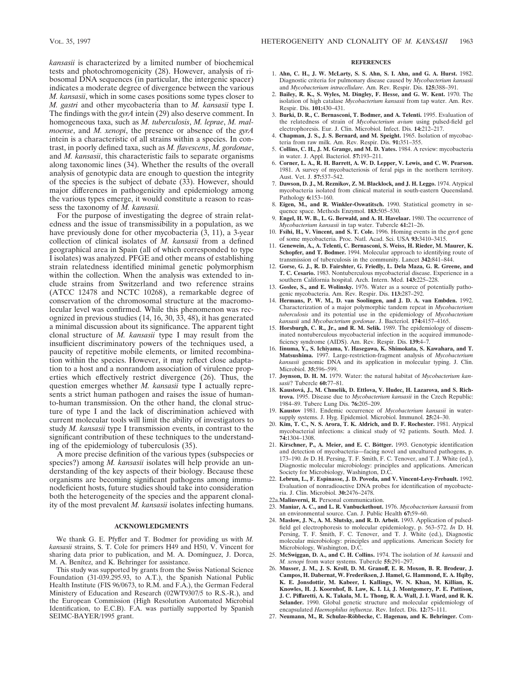*kansasii* is characterized by a limited number of biochemical tests and photochromogenicity (28). However, analysis of ribosomal DNA sequences (in particular, the intergenic spacer) indicates a moderate degree of divergence between the various *M. kansasii*, which in some cases positions some types closer to *M. gastri* and other mycobacteria than to *M. kansasii* type I. The findings with the *gyrA* intein (29) also deserve comment. In homogeneous taxa, such as *M. tuberculosis*, *M. leprae*, *M. malmoense*, and *M. xenopi*, the presence or absence of the *gyrA* intein is a characteristic of all strains within a species. In contrast, in poorly defined taxa, such as *M. flavescens*, *M. gordonae*, and *M. kansasii*, this characteristic fails to separate organisms along taxonomic lines (34). Whether the results of the overall analysis of genotypic data are enough to question the integrity of the species is the subject of debate (33). However, should major differences in pathogenicity and epidemiology among the various types emerge, it would constitute a reason to reassess the taxonomy of *M. kansasii.*

For the purpose of investigating the degree of strain relatedness and the issue of transmissibility in a population, as we have previously done for other mycobacteria  $(3, 11)$ , a 3-year collection of clinical isolates of *M. kansasii* from a defined geographical area in Spain (all of which corresponded to type I isolates) was analyzed. PFGE and other means of establishing strain relatedness identified minimal genetic polymorphism within the collection. When the analysis was extended to include strains from Switzerland and two reference strains (ATCC 12478 and NCTC 10268), a remarkable degree of conservation of the chromosomal structure at the macromolecular level was confirmed. While this phenomenon was recognized in previous studies (14, 16, 30, 33, 48), it has generated a minimal discussion about its significance. The apparent tight clonal structure of *M. kansasii* type I may result from the insufficient discriminatory powers of the techniques used, a paucity of repetitive mobile elements, or limited recombination within the species. However, it may reflect close adaptation to a host and a nonrandom association of virulence properties which effectively restrict divergence (26). Thus, the question emerges whether *M. kansasii* type I actually represents a strict human pathogen and raises the issue of humanto-human transmission. On the other hand, the clonal structure of type I and the lack of discrimination achieved with current molecular tools will limit the ability of investigators to study *M. kansasii* type I transmission events, in contrast to the significant contribution of these techniques to the understanding of the epidemiology of tuberculosis (35).

A more precise definition of the various types (subspecies or species?) among *M. kansasii* isolates will help provide an understanding of the key aspects of their biology. Because these organisms are becoming significant pathogens among immunodeficient hosts, future studies should take into consideration both the heterogeneity of the species and the apparent clonality of the most prevalent *M. kansasii* isolates infecting humans.

### **ACKNOWLEDGMENTS**

We thank G. E. Pfyffer and T. Bodmer for providing us with *M. kansasii* strains, S. T. Cole for primers H49 and H50, V. Vincent for sharing data prior to publication, and M. A. Domínguez, J. Dorca, M. A. Benítez, and K. Behringer for assistance.

This study was supported by grants from the Swiss National Science Foundation (31-039.295.93, to A.T.), the Spanish National Public Health Institute (FIS 96/0673, to R.M. and F.A.), the German Federal Ministery of Education and Research (02WT9307/5 to R.S.-R.), and the European Commission (High Resolution Automated Microbial Identification, to E.C.B). F.A. was partially supported by Spanish SEIMC-BAYER/1995 grant.

### **REFERENCES**

- 1. **Ahn, C. H., J. W. McLarty, S. S. Ahn, S. I. Ahn, and G. A. Hurst.** 1982. Diagnostic criteria for pulmonary disease caused by *Mycobacterium kansasii* and *Mycobacterium intracellulare*. Am. Rev. Respir. Dis. **125:**388–391.
- 2. **Bailey, R. K., S. Wyles, M. Dingley, F. Hesse, and G. W. Kent.** 1970. The isolation of high catalase *Mycobacterium kansasii* from tap water. Am. Rev. Respir. Dis. **101:**430–431.
- 3. **Burki, D. R., C. Bernasconi, T. Bodmer, and A. Telenti.** 1995. Evaluation of the relatedness of strain of *Mycobacterium avium* using pulsed-field gel electrophoresis. Eur. J. Clin. Microbiol. Infect. Dis. **14:**212–217.
- 4. **Chapman, J. S., J. S. Bernard, and M. Speight.** 1965. Isolation of mycobacteria from raw milk. Am. Rev. Respir. Dis. **91:**351–355.
- 5. **Collins, C. H., J. M. Grange, and M. D. Yates.** 1984. A review: mycobacteria in water. J. Appl. Bacteriol. **57:**193–211.
- 6. **Corner, L. A., R. H. Barrett, A. W. D. Lepper, V. Lewis, and C. W. Pearson.** 1981. A survey of mycobacteriosis of feral pigs in the northern territory. Aust. Vet. J. **57:**537–542.
- 7. **Dawson, D. J., M. Reznikov, Z. M. Blacklock, and J. H. Leggo.** 1974. Atypical mycobacteria isolated from clinical material in south-eastern Queensland. Pathology **6:**153–160.
- 8. **Eigen, M., and R. Winkler-Oswatitsch.** 1990. Statistical geometry in sequence space. Methods Enzymol. **183:**505–530.
- 9. **Engel, H. W. B., L. G. Berwald, and A. H. Havelaar.** 1980. The occurrence of *Mycobacterium kansasii* in tap water. Tubercle **61:**21–26.
- 10. **Fsihi, H., V. Vincent, and S. T. Cole.** 1996. Homing events in the *gyrA* gene of some mycobacteria. Proc. Natl. Acad. Sci. USA **93:**3410–3415.
- 11. **Genewein, A., A. Telenti, C. Bernasconi, S. Weiss, H. Rieder, M. Maurer, K. Schopfer, and T. Bodmer.** 1994. Molecular approach to identifying route of transmission of tuberculosis in the community. Lancet **342:**841–844.
- 12. **Gorse, G. J., R. D. Fairshter, G. Friedly, L. Dela Maza, G. R. Greene, and T. C. Cesario.** 1983. Nontuberculous mycobacterial disease. Experience in a southern California hospital. Arch. Intern. Med. **143:**225–228.
- 13. **Goslee, S., and E. Wolinsky.** 1976. Water as a source of potentially pathogenic mycobacteria. Am. Rev. Respir. Dis. **113:**287–292.
- 14. **Hermans, P. W. M., D. van Soolingen, and J. D. A. van Embden.** 1992. Characterization of a major polymorphic tandem repeat in *Mycobacterium tuberculosis* and its potential use in the epidemiology of *Mycobacterium kansasii* and *Mycobacterium gordonae*. J. Bacteriol. **174:**4157–4165.
- 15. **Horsburgh, C. R., Jr., and R. M. Selik.** 1989. The epidemiology of disseminated nontuberculous mycobacterial infection in the acquired immunodeficiency syndrome (AIDS). Am. Rev. Respir. Dis. **139:**4–7.
- 16. **Iinuma, Y., S. Ichiyama, Y. Hasegawa, K. Shimokata, S. Kawahara, and T. Matsushima.** 1997. Large-restriction-fragment analysis of *Mycobacterium kansasii* genomic DNA and its application in molecular typing. J. Clin. Microbiol. **35:**596–599.
- 17. **Joynson, D. H. M.** 1979. Water: the natural habitat of *Mycobacterium kansasii*? Tubercle **60:**77–81.
- 18. Kaustová, J., M. Chmelik, D. Ettlova, V. Hudec, H. Lazarova, and S. Rich**trova.** 1995. Disease due to *Mycobacterium kansasii* in the Czech Republic: 1984–89. Tuberc Lung Dis. **76:**205–209.
- 19. **Kaustov** 1981. Endemic occurrence of *Mycobacterium kansasii* in watersupply systems. J. Hyg. Epidemiol. Microbiol. Immunol. **25:**24–30.
- 20. **Kim, T. C., N. S. Arora, T. K. Aldrich, and D. F. Rochester.** 1981. Atypical mycobacterial infections: a clinical study of 92 patients. South. Med. J. **74:**1304–1308.
- 21. Kirschner, P., A. Meier, and E. C. Böttger. 1993. Genotypic identification and detection of mycobacteria—facing novel and uncultured pathogens, p. 173–190. *In* D. H. Persing, T. F. Smith, F. C. Tenover, and T. J. White (ed.), Diagnostic molecular microbiology: principles and applications. American Society for Microbiology, Washington, D.C.
- 22. **Lebrun, L., F. Espinasse, J. D. Poveda, and V. Vincent-Levy-Frebault.** 1992. Evaluation of nonradioactive DNA probes for identification of mycobacteria. J. Clin. Microbiol. **30:**2476–2478.
- 22a.**Malinverni, R.** Personal communication.
- 23. **Maniar, A. C., and L. R. Vanbuckethout.** 1976. *Mycobacterium kansasii* from an environmental source. Can. J. Public Health **67:**59–60.
- 24. **Maslow, J. N., A. M. Slutsky, and R. D. Arbeit.** 1993. Application of pulsedfield gel electrophoresis to molecular epidemiology, p. 563–572. *In* D. H. Persing, T. F. Smith, F. C. Tenover, and T. J. White (ed.), Diagnostic molecular microbiology: principles and applications. American Society for Microbiology, Washington, D.C.
- 25. **McSwiggan, D. A., and C. H. Collins.** 1974. The isolation of *M. kansasii* and *M. xenopi* from water systems. Tubercle **55:**291–297.
- 26. **Musser, J. M., J. S. Kroll, D. M. Granoff, E. R. Moxon, B. R. Brodeur, J. Campos, H. Dabernat, W. Frederiksen, J. Hamel, G. Hammond, E. A. Hqiby, K. E. Jonsdottir, M. Kabeer, I. Kallings, W. N. Khan, M. Killian, K. Knowles, H. J. Koornhof, B. Law, K. I. Li, J. Montgomery, P. E. Pattison, J. C. Piffaretti, A. K. Takala, M. L. Thong, R. A. Wall, J. I. Ward, and R. K. Selander.** 1990. Global genetic structure and molecular epidemiology of encapsulated *Haemophilus influenza*. Rev. Infect. Dis. **12:**75–111.
- 27. Neumann, M., R. Schulze-Röbbecke, C. Hagenau, and K. Behringer. Com-